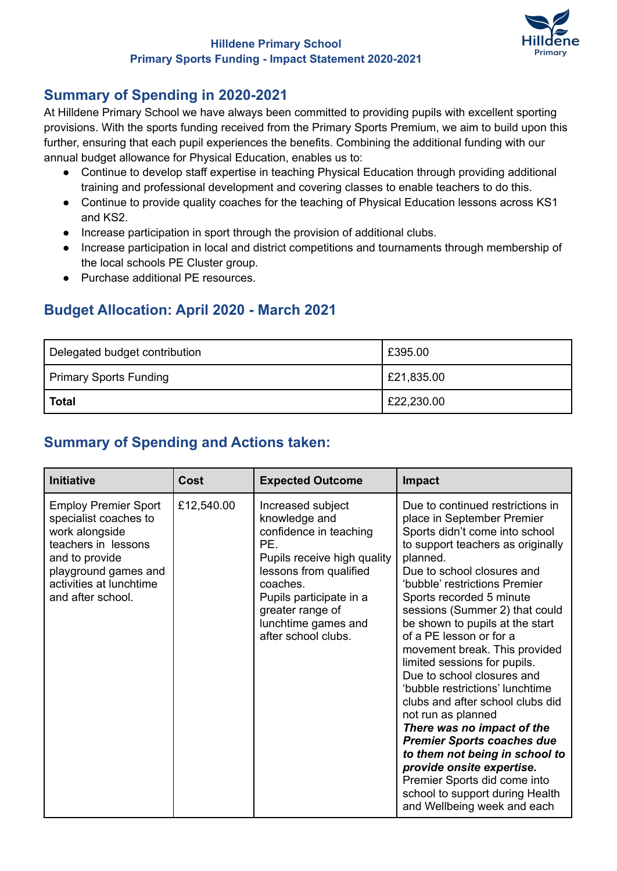#### **Hilldene Primary School Primary Sports Funding - Impact Statement 2020-2021**



## **Summary of Spending in 2020-2021**

At Hilldene Primary School we have always been committed to providing pupils with excellent sporting provisions. With the sports funding received from the Primary Sports Premium, we aim to build upon this further, ensuring that each pupil experiences the benefits. Combining the additional funding with our annual budget allowance for Physical Education, enables us to:

- Continue to develop staff expertise in teaching Physical Education through providing additional training and professional development and covering classes to enable teachers to do this.
- Continue to provide quality coaches for the teaching of Physical Education lessons across KS1 and KS2.
- Increase participation in sport through the provision of additional clubs.
- Increase participation in local and district competitions and tournaments through membership of the local schools PE Cluster group.
- Purchase additional PE resources.

# **Budget Allocation: April 2020 - March 2021**

| Delegated budget contribution | £395.00    |
|-------------------------------|------------|
| <b>Primary Sports Funding</b> | E21,835.00 |
| <b>Total</b>                  | E22,230.00 |

### **Summary of Spending and Actions taken:**

| <b>Initiative</b>                                                                                                                                                                       | Cost       | <b>Expected Outcome</b>                                                                                                                                                                                                               | <b>Impact</b>                                                                                                                                                                                                                                                                                                                                                                                                                                                                                                                                                                                                                                                                                                                                                                |
|-----------------------------------------------------------------------------------------------------------------------------------------------------------------------------------------|------------|---------------------------------------------------------------------------------------------------------------------------------------------------------------------------------------------------------------------------------------|------------------------------------------------------------------------------------------------------------------------------------------------------------------------------------------------------------------------------------------------------------------------------------------------------------------------------------------------------------------------------------------------------------------------------------------------------------------------------------------------------------------------------------------------------------------------------------------------------------------------------------------------------------------------------------------------------------------------------------------------------------------------------|
| <b>Employ Premier Sport</b><br>specialist coaches to<br>work alongside<br>teachers in lessons<br>and to provide<br>playground games and<br>activities at lunchtime<br>and after school. | £12,540.00 | Increased subject<br>knowledge and<br>confidence in teaching<br>PE.<br>Pupils receive high quality<br>lessons from qualified<br>coaches.<br>Pupils participate in a<br>greater range of<br>lunchtime games and<br>after school clubs. | Due to continued restrictions in<br>place in September Premier<br>Sports didn't come into school<br>to support teachers as originally<br>planned.<br>Due to school closures and<br>'bubble' restrictions Premier<br>Sports recorded 5 minute<br>sessions (Summer 2) that could<br>be shown to pupils at the start<br>of a PE lesson or for a<br>movement break. This provided<br>limited sessions for pupils.<br>Due to school closures and<br>'bubble restrictions' lunchtime<br>clubs and after school clubs did<br>not run as planned<br>There was no impact of the<br><b>Premier Sports coaches due</b><br>to them not being in school to<br>provide onsite expertise.<br>Premier Sports did come into<br>school to support during Health<br>and Wellbeing week and each |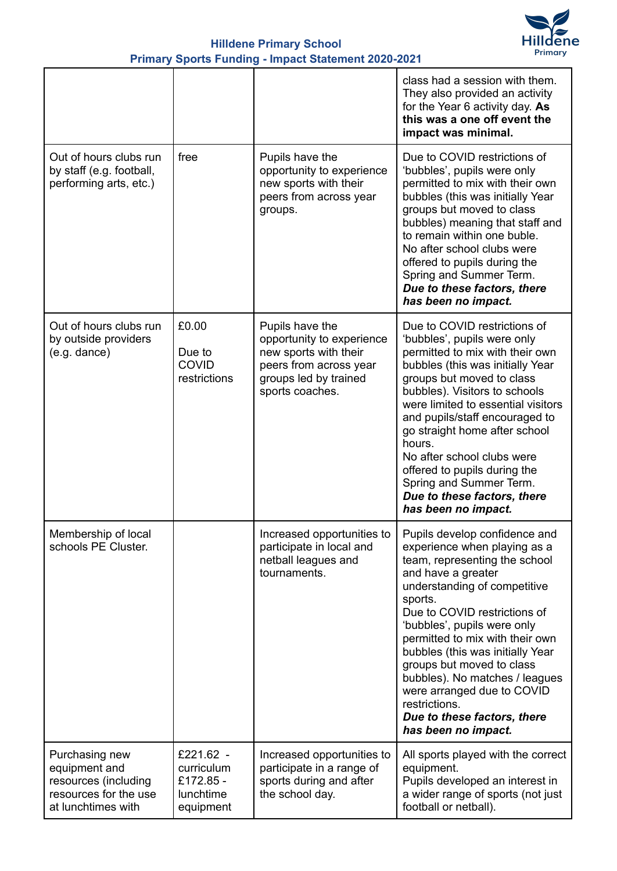

|                                                                                                        |                                                                |                                                                                                                                             | class had a session with them.<br>They also provided an activity<br>for the Year 6 activity day. As<br>this was a one off event the<br>impact was minimal.                                                                                                                                                                                                                                                                                                                |
|--------------------------------------------------------------------------------------------------------|----------------------------------------------------------------|---------------------------------------------------------------------------------------------------------------------------------------------|---------------------------------------------------------------------------------------------------------------------------------------------------------------------------------------------------------------------------------------------------------------------------------------------------------------------------------------------------------------------------------------------------------------------------------------------------------------------------|
| Out of hours clubs run<br>by staff (e.g. football,<br>performing arts, etc.)                           | free                                                           | Pupils have the<br>opportunity to experience<br>new sports with their<br>peers from across year<br>groups.                                  | Due to COVID restrictions of<br>'bubbles', pupils were only<br>permitted to mix with their own<br>bubbles (this was initially Year<br>groups but moved to class<br>bubbles) meaning that staff and<br>to remain within one buble.<br>No after school clubs were<br>offered to pupils during the<br>Spring and Summer Term.<br>Due to these factors, there<br>has been no impact.                                                                                          |
| Out of hours clubs run<br>by outside providers<br>$(e.g.$ dance)                                       | £0.00<br>Due to<br><b>COVID</b><br>restrictions                | Pupils have the<br>opportunity to experience<br>new sports with their<br>peers from across year<br>groups led by trained<br>sports coaches. | Due to COVID restrictions of<br>'bubbles', pupils were only<br>permitted to mix with their own<br>bubbles (this was initially Year<br>groups but moved to class<br>bubbles). Visitors to schools<br>were limited to essential visitors<br>and pupils/staff encouraged to<br>go straight home after school<br>hours.<br>No after school clubs were<br>offered to pupils during the<br>Spring and Summer Term.<br>Due to these factors, there<br>has been no impact.        |
| Membership of local<br>schools PE Cluster.                                                             |                                                                | Increased opportunities to<br>participate in local and<br>netball leagues and<br>tournaments.                                               | Pupils develop confidence and<br>experience when playing as a<br>team, representing the school<br>and have a greater<br>understanding of competitive<br>sports.<br>Due to COVID restrictions of<br>'bubbles', pupils were only<br>permitted to mix with their own<br>bubbles (this was initially Year<br>groups but moved to class<br>bubbles). No matches / leagues<br>were arranged due to COVID<br>restrictions.<br>Due to these factors, there<br>has been no impact. |
| Purchasing new<br>equipment and<br>resources (including<br>resources for the use<br>at lunchtimes with | £221.62 -<br>curriculum<br>£172.85 -<br>lunchtime<br>equipment | Increased opportunities to<br>participate in a range of<br>sports during and after<br>the school day.                                       | All sports played with the correct<br>equipment.<br>Pupils developed an interest in<br>a wider range of sports (not just<br>football or netball).                                                                                                                                                                                                                                                                                                                         |